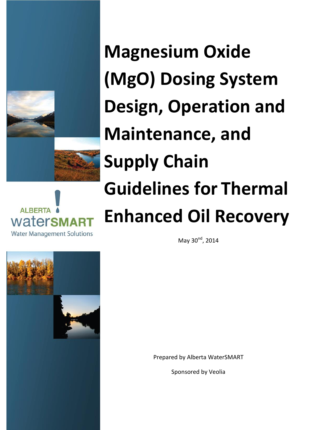



**Magnesium Oxide (MgO) Dosing System Design, Operation and Maintenance, and Supply Chain Guidelines for Thermal Enhanced Oil Recovery**

May  $30^{nd}$ , 2014



Prepared by Alberta WaterSMART

Sponsored by Veolia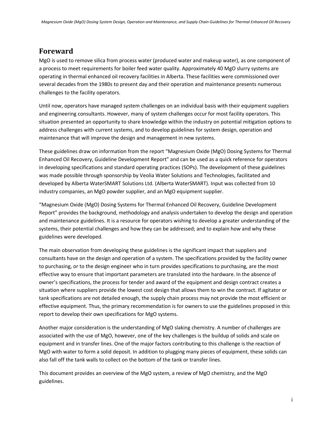## **Foreward**

MgO is used to remove silica from process water (produced water and makeup water), as one component of a process to meet requirements for boiler feed water quality. Approximately 40 MgO slurry systems are operating in thermal enhanced oil recovery facilities in Alberta. These facilities were commissioned over several decades from the 1980s to present day and their operation and maintenance presents numerous challenges to the facility operators.

Until now, operators have managed system challenges on an individual basis with their equipment suppliers and engineering consultants. However, many of system challenges occur for most facility operators. This situation presented an opportunity to share knowledge within the industry on potential mitigation options to address challenges with current systems, and to develop guidelines for system design, operation and maintenance that will improve the design and management in new systems.

These guidelines draw on information from the report "Magnesium Oxide (MgO) Dosing Systems for Thermal Enhanced Oil Recovery, Guideline Development Report" and can be used as a quick reference for operators in developing specifications and standard operating practices (SOPs). The development of these guidelines was made possible through sponsorship by Veolia Water Solutions and Technologies, facilitated and developed by Alberta WaterSMART Solutions Ltd. (Alberta WaterSMART). Input was collected from 10 industry companies, an MgO powder supplier, and an MgO equipment supplier.

"Magnesium Oxide (MgO) Dosing Systems for Thermal Enhanced Oil Recovery, Guideline Development Report" provides the background, methodology and analysis undertaken to develop the design and operation and maintenance guidelines. It is a resource for operators wishing to develop a greater understanding of the systems, their potential challenges and how they can be addressed; and to explain how and why these guidelines were developed.

The main observation from developing these guidelines is the significant impact that suppliers and consultants have on the design and operation of a system. The specifications provided by the facility owner to purchasing, or to the design engineer who in turn provides specifications to purchasing, are the most effective way to ensure that important parameters are translated into the hardware. In the absence of owner's specifications, the process for tender and award of the equipment and design contract creates a situation where suppliers provide the lowest cost design that allows them to win the contract. If agitator or tank specifications are not detailed enough, the supply chain process may not provide the most efficient or effective equipment. Thus, the primary recommendation is for owners to use the guidelines proposed in this report to develop their own specifications for MgO systems.

Another major consideration is the understanding of MgO slaking chemistry. A number of challenges are associated with the use of MgO, however, one of the key challenges is the buildup of solids and scale on equipment and in transfer lines. One of the major factors contributing to this challenge is the reaction of MgO with water to form a solid deposit. In addition to plugging many pieces of equipment, these solids can also fall off the tank walls to collect on the bottom of the tank or transfer lines.

This document provides an overview of the MgO system, a review of MgO chemistry, and the MgO guidelines.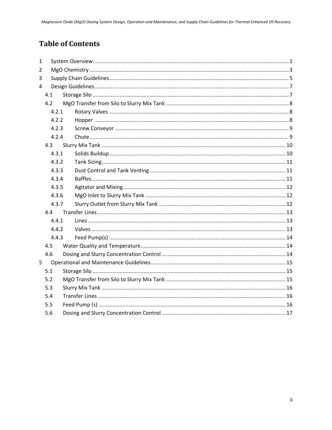# **Table of Contents**

| $\mathbf{1}$   |     |                |  |  |  |  |  |  |  |
|----------------|-----|----------------|--|--|--|--|--|--|--|
| $\overline{2}$ |     |                |  |  |  |  |  |  |  |
| 3              |     |                |  |  |  |  |  |  |  |
| 4              |     |                |  |  |  |  |  |  |  |
|                | 4.1 |                |  |  |  |  |  |  |  |
|                | 4.2 |                |  |  |  |  |  |  |  |
|                |     | 4.2.1<br>4.2.2 |  |  |  |  |  |  |  |
|                |     |                |  |  |  |  |  |  |  |
|                |     | 4.2.3          |  |  |  |  |  |  |  |
|                |     | 4.2.4          |  |  |  |  |  |  |  |
|                | 4.3 |                |  |  |  |  |  |  |  |
|                |     | 4.3.1          |  |  |  |  |  |  |  |
|                |     | 4.3.2          |  |  |  |  |  |  |  |
|                |     | 4.3.3          |  |  |  |  |  |  |  |
|                |     | 4.3.4          |  |  |  |  |  |  |  |
|                |     | 4.3.5          |  |  |  |  |  |  |  |
|                |     | 4.3.6          |  |  |  |  |  |  |  |
|                |     | 4.3.7          |  |  |  |  |  |  |  |
|                | 4.4 |                |  |  |  |  |  |  |  |
|                |     | 4.4.1          |  |  |  |  |  |  |  |
|                |     | 4.4.2          |  |  |  |  |  |  |  |
|                |     | 4.4.3          |  |  |  |  |  |  |  |
|                | 4.5 |                |  |  |  |  |  |  |  |
|                | 4.6 |                |  |  |  |  |  |  |  |
| 5              |     |                |  |  |  |  |  |  |  |
|                | 5.1 |                |  |  |  |  |  |  |  |
|                | 5.2 |                |  |  |  |  |  |  |  |
|                | 5.3 |                |  |  |  |  |  |  |  |
|                | 5.4 |                |  |  |  |  |  |  |  |
|                | 5.5 |                |  |  |  |  |  |  |  |
|                | 5.6 |                |  |  |  |  |  |  |  |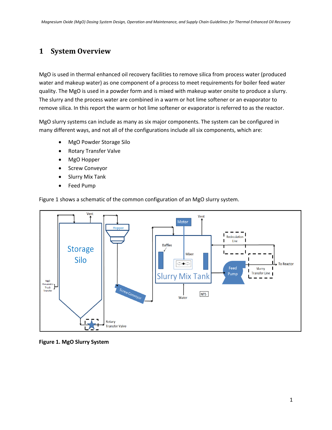## <span id="page-3-0"></span>**1 System Overview**

MgO is used in thermal enhanced oil recovery facilities to remove silica from process water (produced water and makeup water) as one component of a process to meet requirements for boiler feed water quality. The MgO is used in a powder form and is mixed with makeup water onsite to produce a slurry. The slurry and the process water are combined in a warm or hot lime softener or an evaporator to remove silica. In this report the warm or hot lime softener or evaporator is referred to as the reactor.

MgO slurry systems can include as many as six major components. The system can be configured in many different ways, and not all of the configurations include all six components, which are:

- MgO Powder Storage Silo
- Rotary Transfer Valve
- MgO Hopper
- Screw Conveyor
- Slurry Mix Tank
- Feed Pump

[Figure 1](#page-3-1) shows a schematic of the common configuration of an MgO slurry system.



<span id="page-3-1"></span>**Figure 1. MgO Slurry System**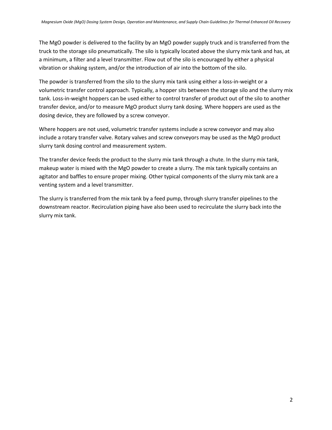The MgO powder is delivered to the facility by an MgO powder supply truck and is transferred from the truck to the storage silo pneumatically. The silo is typically located above the slurry mix tank and has, at a minimum, a filter and a level transmitter. Flow out of the silo is encouraged by either a physical vibration or shaking system, and/or the introduction of air into the bottom of the silo.

The powder is transferred from the silo to the slurry mix tank using either a loss-in-weight or a volumetric transfer control approach. Typically, a hopper sits between the storage silo and the slurry mix tank. Loss-in-weight hoppers can be used either to control transfer of product out of the silo to another transfer device, and/or to measure MgO product slurry tank dosing. Where hoppers are used as the dosing device, they are followed by a screw conveyor.

Where hoppers are not used, volumetric transfer systems include a screw conveyor and may also include a rotary transfer valve. Rotary valves and screw conveyors may be used as the MgO product slurry tank dosing control and measurement system.

The transfer device feeds the product to the slurry mix tank through a chute. In the slurry mix tank, makeup water is mixed with the MgO powder to create a slurry. The mix tank typically contains an agitator and baffles to ensure proper mixing. Other typical components of the slurry mix tank are a venting system and a level transmitter.

The slurry is transferred from the mix tank by a feed pump, through slurry transfer pipelines to the downstream reactor. Recirculation piping have also been used to recirculate the slurry back into the slurry mix tank.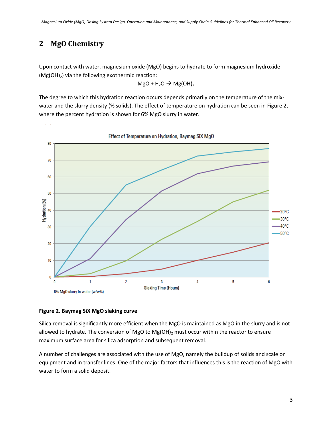## <span id="page-5-0"></span>**2 MgO Chemistry**

Upon contact with water, magnesium oxide (MgO) begins to hydrate to form magnesium hydroxide  $(Mg(OH)_2)$  via the following exothermic reaction:

$$
MgO + H_2O \rightarrow Mg(OH)_2
$$

The degree to which this hydration reaction occurs depends primarily on the temperature of the mixwater and the slurry density (% solids). The effect of temperature on hydration can be seen i[n Figure 2,](#page-5-1) where the percent hydration is shown for 6% MgO slurry in water.



#### <span id="page-5-1"></span>**Figure 2. Baymag SiX MgO slaking curve**

Silica removal is significantly more efficient when the MgO is maintained as MgO in the slurry and is not allowed to hydrate. The conversion of MgO to Mg(OH) $_2$  must occur within the reactor to ensure maximum surface area for silica adsorption and subsequent removal.

A number of challenges are associated with the use of MgO, namely the buildup of solids and scale on equipment and in transfer lines. One of the major factors that influences this is the reaction of MgO with water to form a solid deposit.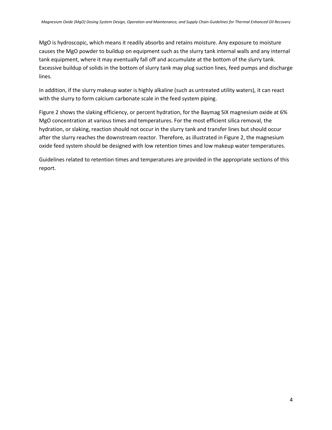MgO is hydroscopic, which means it readily absorbs and retains moisture. Any exposure to moisture causes the MgO powder to buildup on equipment such as the slurry tank internal walls and any internal tank equipment, where it may eventually fall off and accumulate at the bottom of the slurry tank. Excessive buildup of solids in the bottom of slurry tank may plug suction lines, feed pumps and discharge lines.

In addition, if the slurry makeup water is highly alkaline (such as untreated utility waters), it can react with the slurry to form calcium carbonate scale in the feed system piping.

[Figure 2](#page-5-1) shows the slaking efficiency, or percent hydration, for the Baymag SiX magnesium oxide at 6% MgO concentration at various times and temperatures. For the most efficient silica removal, the hydration, or slaking, reaction should not occur in the slurry tank and transfer lines but should occur after the slurry reaches the downstream reactor. Therefore, as illustrated in [Figure 2,](#page-5-1) the magnesium oxide feed system should be designed with low retention times and low makeup water temperatures.

Guidelines related to retention times and temperatures are provided in the appropriate sections of this report.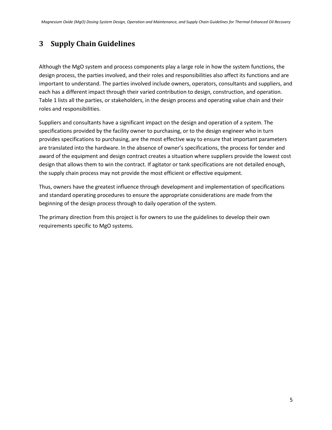## <span id="page-7-0"></span>**3 Supply Chain Guidelines**

Although the MgO system and process components play a large role in how the system functions, the design process, the parties involved, and their roles and responsibilities also affect its functions and are important to understand. The parties involved include owners, operators, consultants and suppliers, and each has a different impact through their varied contribution to design, construction, and operation. [Table 1](#page-8-0) lists all the parties, or stakeholders, in the design process and operating value chain and their roles and responsibilities.

Suppliers and consultants have a significant impact on the design and operation of a system. The specifications provided by the facility owner to purchasing, or to the design engineer who in turn provides specifications to purchasing, are the most effective way to ensure that important parameters are translated into the hardware. In the absence of owner's specifications, the process for tender and award of the equipment and design contract creates a situation where suppliers provide the lowest cost design that allows them to win the contract. If agitator or tank specifications are not detailed enough, the supply chain process may not provide the most efficient or effective equipment.

Thus, owners have the greatest influence through development and implementation of specifications and standard operating procedures to ensure the appropriate considerations are made from the beginning of the design process through to daily operation of the system.

The primary direction from this project is for owners to use the guidelines to develop their own requirements specific to MgO systems.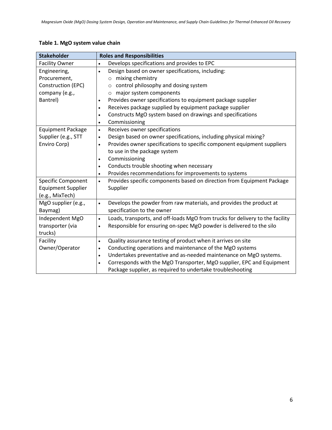### <span id="page-8-0"></span>**Table 1. MgO system value chain**

| <b>Stakeholder</b>        | <b>Roles and Responsibilities</b>                                                          |  |  |  |  |
|---------------------------|--------------------------------------------------------------------------------------------|--|--|--|--|
| <b>Facility Owner</b>     | Develops specifications and provides to EPC<br>$\bullet$                                   |  |  |  |  |
| Engineering,              | Design based on owner specifications, including:<br>$\bullet$                              |  |  |  |  |
| Procurement,              | mixing chemistry<br>$\circ$                                                                |  |  |  |  |
| Construction (EPC)        | control philosophy and dosing system<br>$\circ$                                            |  |  |  |  |
| company (e.g.,            | major system components<br>$\circ$                                                         |  |  |  |  |
| Bantrel)                  | Provides owner specifications to equipment package supplier<br>$\bullet$                   |  |  |  |  |
|                           | Receives package supplied by equipment package supplier<br>$\bullet$                       |  |  |  |  |
|                           | Constructs MgO system based on drawings and specifications<br>$\bullet$                    |  |  |  |  |
|                           | Commissioning<br>$\bullet$                                                                 |  |  |  |  |
| <b>Equipment Package</b>  | Receives owner specifications<br>$\bullet$                                                 |  |  |  |  |
| Supplier (e.g., STT       | Design based on owner specifications, including physical mixing?<br>$\bullet$              |  |  |  |  |
| Enviro Corp)              | Provides owner specifications to specific component equipment suppliers<br>$\bullet$       |  |  |  |  |
|                           | to use in the package system                                                               |  |  |  |  |
|                           | Commissioning<br>$\bullet$                                                                 |  |  |  |  |
|                           | Conducts trouble shooting when necessary<br>$\bullet$                                      |  |  |  |  |
|                           | Provides recommendations for improvements to systems<br>$\bullet$                          |  |  |  |  |
| <b>Specific Component</b> | Provides specific components based on direction from Equipment Package<br>$\bullet$        |  |  |  |  |
| <b>Equipment Supplier</b> | Supplier                                                                                   |  |  |  |  |
| (e.g., MixTech)           |                                                                                            |  |  |  |  |
| MgO supplier (e.g.,       | Develops the powder from raw materials, and provides the product at<br>$\bullet$           |  |  |  |  |
| Baymag)                   | specification to the owner                                                                 |  |  |  |  |
| Independent MgO           | Loads, transports, and off-loads MgO from trucks for delivery to the facility<br>$\bullet$ |  |  |  |  |
| transporter (via          | Responsible for ensuring on-spec MgO powder is delivered to the silo<br>$\bullet$          |  |  |  |  |
| trucks)                   |                                                                                            |  |  |  |  |
| Facility                  | Quality assurance testing of product when it arrives on site<br>$\bullet$                  |  |  |  |  |
| Owner/Operator            | Conducting operations and maintenance of the MgO systems<br>$\bullet$                      |  |  |  |  |
|                           | Undertakes preventative and as-needed maintenance on MgO systems.<br>$\bullet$             |  |  |  |  |
|                           | Corresponds with the MgO Transporter, MgO supplier, EPC and Equipment<br>$\bullet$         |  |  |  |  |
|                           | Package supplier, as required to undertake troubleshooting                                 |  |  |  |  |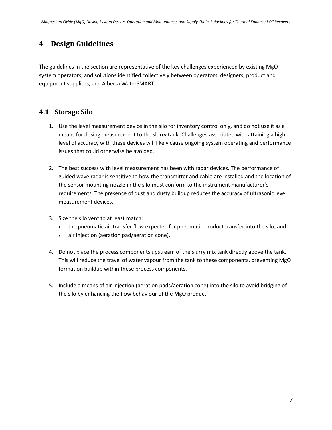## <span id="page-9-0"></span>**4 Design Guidelines**

The guidelines in the section are representative of the key challenges experienced by existing MgO system operators, and solutions identified collectively between operators, designers, product and equipment suppliers, and Alberta WaterSMART.

### <span id="page-9-1"></span>**4.1 Storage Silo**

- 1. Use the level measurement device in the silo for inventory control only, and do not use it as a means for dosing measurement to the slurry tank. Challenges associated with attaining a high level of accuracy with these devices will likely cause ongoing system operating and performance issues that could otherwise be avoided.
- 2. The best success with level measurement has been with radar devices. The performance of guided wave radar is sensitive to how the transmitter and cable are installed and the location of the sensor mounting nozzle in the silo must conform to the instrument manufacturer's requirements. The presence of dust and dusty buildup reduces the accuracy of ultrasonic level measurement devices.
- 3. Size the silo vent to at least match:
	- the pneumatic air transfer flow expected for pneumatic product transfer into the silo, and
	- air injection (aeration pad/aeration cone).
- 4. Do not place the process components upstream of the slurry mix tank directly above the tank. This will reduce the travel of water vapour from the tank to these components, preventing MgO formation buildup within these process components.
- 5. Include a means of air injection (aeration pads/aeration cone) into the silo to avoid bridging of the silo by enhancing the flow behaviour of the MgO product.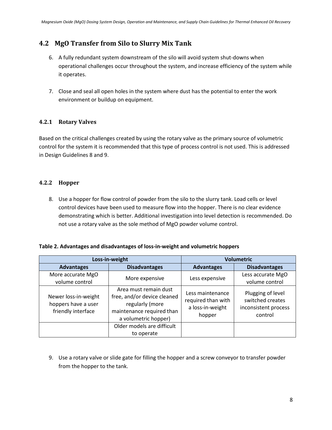## <span id="page-10-0"></span>**4.2 MgO Transfer from Silo to Slurry Mix Tank**

- 6. A fully redundant system downstream of the silo will avoid system shut-downs when operational challenges occur throughout the system, and increase efficiency of the system while it operates.
- 7. Close and seal all open holes in the system where dust has the potential to enter the work environment or buildup on equipment.

### <span id="page-10-1"></span>**4.2.1 Rotary Valves**

Based on the critical challenges created by using the rotary valve as the primary source of volumetric control for the system it is recommended that this type of process control is not used. This is addressed in Design Guidelines 8 and 9.

### <span id="page-10-2"></span>**4.2.2 Hopper**

8. Use a hopper for flow control of powder from the silo to the slurry tank. Load cells or level control devices have been used to measure flow into the hopper. There is no clear evidence demonstrating which is better. Additional investigation into level detection is recommended. Do not use a rotary valve as the sole method of MgO powder volume control.

#### **Table 2. Advantages and disadvantages of loss-in-weight and volumetric hoppers**

|                                                                   | Loss-in-weight                                                                                                               | <b>Volumetric</b>                                                    |                                                                          |  |
|-------------------------------------------------------------------|------------------------------------------------------------------------------------------------------------------------------|----------------------------------------------------------------------|--------------------------------------------------------------------------|--|
| <b>Advantages</b>                                                 | <b>Disadvantages</b>                                                                                                         | <b>Advantages</b>                                                    | <b>Disadvantages</b>                                                     |  |
| More accurate MgO<br>volume control                               | More expensive                                                                                                               | Less expensive                                                       | Less accurate MgO<br>volume control                                      |  |
| Newer loss-in-weight<br>hoppers have a user<br>friendly interface | Area must remain dust<br>free, and/or device cleaned<br>regularly (more<br>maintenance required than<br>a volumetric hopper) | Less maintenance<br>required than with<br>a loss-in-weight<br>hopper | Plugging of level<br>switched creates<br>inconsistent process<br>control |  |
|                                                                   | Older models are difficult                                                                                                   |                                                                      |                                                                          |  |
|                                                                   | to operate                                                                                                                   |                                                                      |                                                                          |  |

9. Use a rotary valve or slide gate for filling the hopper and a screw conveyor to transfer powder from the hopper to the tank.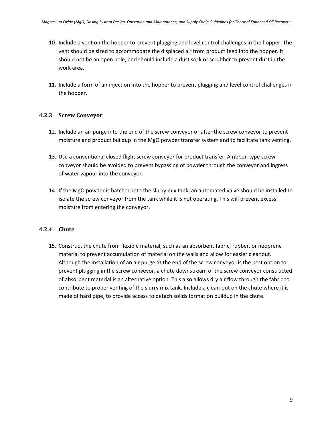- 10. Include a vent on the hopper to prevent plugging and level control challenges in the hopper. The vent should be sized to accommodate the displaced air from product feed into the hopper. It should not be an open hole, and should include a dust sock or scrubber to prevent dust in the work area.
- 11. Include a form of air injection into the hopper to prevent plugging and level control challenges in the hopper.

#### <span id="page-11-0"></span>**4.2.3 Screw Conveyor**

- 12. Include an air purge into the end of the screw conveyor or after the screw conveyor to prevent moisture and product buildup in the MgO powder transfer system and to facilitate tank venting.
- 13. Use a conventional closed flight screw conveyor for product transfer. A ribbon type screw conveyor should be avoided to prevent bypassing of powder through the conveyor and ingress of water vapour into the conveyor.
- 14. If the MgO powder is batched into the slurry mix tank, an automated valve should be installed to isolate the screw conveyor from the tank while it is not operating. This will prevent excess moisture from entering the conveyor.

#### <span id="page-11-1"></span>**4.2.4 Chute**

15. Construct the chute from flexible material, such as an absorbent fabric, rubber, or neoprene material to prevent accumulation of material on the walls and allow for easier cleanout. Although the installation of an air purge at the end of the screw conveyor is the best option to prevent plugging in the screw conveyor, a chute downstream of the screw conveyor constructed of absorbent material is an alternative option. This also allows dry air flow through the fabric to contribute to proper venting of the slurry mix tank. Include a clean-out on the chute where it is made of hard pipe, to provide access to detach solids formation buildup in the chute.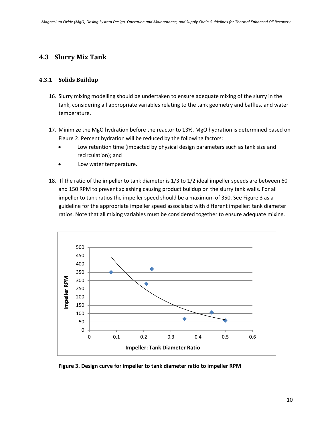### <span id="page-12-0"></span>**4.3 Slurry Mix Tank**

#### <span id="page-12-1"></span>**4.3.1 Solids Buildup**

- 16. Slurry mixing modelling should be undertaken to ensure adequate mixing of the slurry in the tank, considering all appropriate variables relating to the tank geometry and baffles, and water temperature.
- 17. Minimize the MgO hydration before the reactor to 13%. MgO hydration is determined based on [Figure 2.](#page-5-1) Percent hydration will be reduced by the following factors:
	- Low retention time (impacted by physical design parameters such as tank size and recirculation); and
	- Low water temperature.
- 18. If the ratio of the impeller to tank diameter is 1/3 to 1/2 ideal impeller speeds are between 60 and 150 RPM to prevent splashing causing product buildup on the slurry tank walls. For all impeller to tank ratios the impeller speed should be a maximum of 350. See Figure 3 as a guideline for the appropriate impeller speed associated with different impeller: tank diameter ratios. Note that all mixing variables must be considered together to ensure adequate mixing.



**Figure 3. Design curve for impeller to tank diameter ratio to impeller RPM**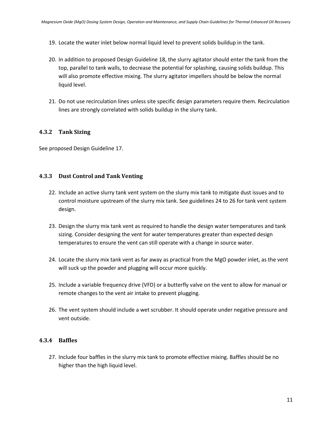- 19. Locate the water inlet below normal liquid level to prevent solids buildup in the tank.
- 20. In addition to proposed Design Guideline 18, the slurry agitator should enter the tank from the top, parallel to tank walls, to decrease the potential for splashing, causing solids buildup. This will also promote effective mixing. The slurry agitator impellers should be below the normal liquid level.
- 21. Do not use recirculation lines unless site specific design parameters require them. Recirculation lines are strongly correlated with solids buildup in the slurry tank.

#### <span id="page-13-0"></span>**4.3.2 Tank Sizing**

See proposed Design Guideline 17.

#### <span id="page-13-1"></span>**4.3.3 Dust Control and Tank Venting**

- 22. Include an active slurry tank vent system on the slurry mix tank to mitigate dust issues and to control moisture upstream of the slurry mix tank. See guidelines 24 to 26 for tank vent system design.
- 23. Design the slurry mix tank vent as required to handle the design water temperatures and tank sizing. Consider designing the vent for water temperatures greater than expected design temperatures to ensure the vent can still operate with a change in source water.
- 24. Locate the slurry mix tank vent as far away as practical from the MgO powder inlet, as the vent will suck up the powder and plugging will occur more quickly.
- 25. Include a variable frequency drive (VFD) or a butterfly valve on the vent to allow for manual or remote changes to the vent air intake to prevent plugging.
- 26. The vent system should include a wet scrubber. It should operate under negative pressure and vent outside.

#### <span id="page-13-2"></span>**4.3.4 Baffles**

27. Include four baffles in the slurry mix tank to promote effective mixing. Baffles should be no higher than the high liquid level.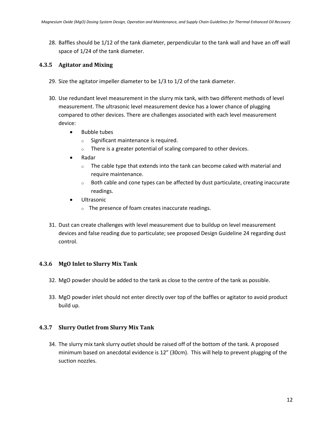28. Baffles should be 1/12 of the tank diameter, perpendicular to the tank wall and have an off wall space of 1/24 of the tank diameter.

#### <span id="page-14-0"></span>**4.3.5 Agitator and Mixing**

- 29. Size the agitator impeller diameter to be 1/3 to 1/2 of the tank diameter.
- 30. Use redundant level measurement in the slurry mix tank, with two different methods of level measurement. The ultrasonic level measurement device has a lower chance of plugging compared to other devices. There are challenges associated with each level measurement device:
	- Bubble tubes
		- o Significant maintenance is required.
		- o There is a greater potential of scaling compared to other devices.
	- Radar
		- $\circ$  The cable type that extends into the tank can become caked with material and require maintenance.
		- $\circ$  Both cable and cone types can be affected by dust particulate, creating inaccurate readings.
	- Ultrasonic
		- o The presence of foam creates inaccurate readings.
- 31. Dust can create challenges with level measurement due to buildup on level measurement devices and false reading due to particulate; see proposed Design Guideline 24 regarding dust control.

#### <span id="page-14-1"></span>**4.3.6 MgO Inlet to Slurry Mix Tank**

- 32. MgO powder should be added to the tank as close to the centre of the tank as possible.
- 33. MgO powder inlet should not enter directly over top of the baffles or agitator to avoid product build up.

#### <span id="page-14-2"></span>**4.3.7 Slurry Outlet from Slurry Mix Tank**

34. The slurry mix tank slurry outlet should be raised off of the bottom of the tank. A proposed minimum based on anecdotal evidence is 12" (30cm). This will help to prevent plugging of the suction nozzles.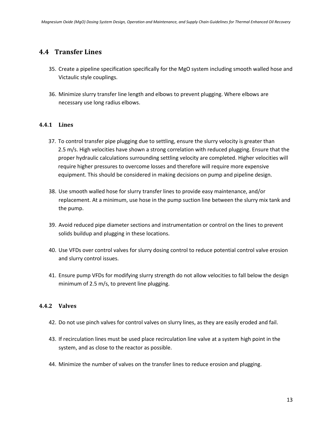### <span id="page-15-0"></span>**4.4 Transfer Lines**

- 35. Create a pipeline specification specifically for the MgO system including smooth walled hose and Victaulic style couplings.
- 36. Minimize slurry transfer line length and elbows to prevent plugging. Where elbows are necessary use long radius elbows.

#### <span id="page-15-1"></span>**4.4.1 Lines**

- 37. To control transfer pipe plugging due to settling, ensure the slurry velocity is greater than 2.5 m/s. High velocities have shown a strong correlation with reduced plugging. Ensure that the proper hydraulic calculations surrounding settling velocity are completed. Higher velocities will require higher pressures to overcome losses and therefore will require more expensive equipment. This should be considered in making decisions on pump and pipeline design.
- 38. Use smooth walled hose for slurry transfer lines to provide easy maintenance, and/or replacement. At a minimum, use hose in the pump suction line between the slurry mix tank and the pump.
- 39. Avoid reduced pipe diameter sections and instrumentation or control on the lines to prevent solids buildup and plugging in these locations.
- 40. Use VFDs over control valves for slurry dosing control to reduce potential control valve erosion and slurry control issues.
- 41. Ensure pump VFDs for modifying slurry strength do not allow velocities to fall below the design minimum of 2.5 m/s, to prevent line plugging.

#### <span id="page-15-2"></span>**4.4.2 Valves**

- 42. Do not use pinch valves for control valves on slurry lines, as they are easily eroded and fail.
- 43. If recirculation lines must be used place recirculation line valve at a system high point in the system, and as close to the reactor as possible.
- 44. Minimize the number of valves on the transfer lines to reduce erosion and plugging.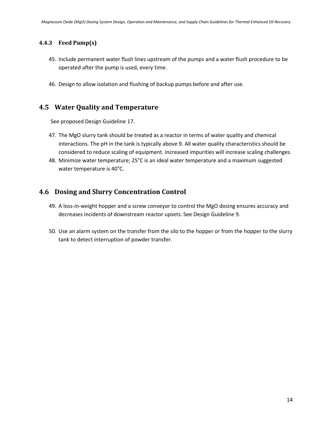#### <span id="page-16-0"></span>**4.4.3 Feed Pump(s)**

- 45. Include permanent water flush lines upstream of the pumps and a water flush procedure to be operated after the pump is used, every time.
- 46. Design to allow isolation and flushing of backup pumps before and after use.

### <span id="page-16-1"></span>**4.5 Water Quality and Temperature**

See proposed Design Guideline 17.

- 47. The MgO slurry tank should be treated as a reactor in terms of water quality and chemical interactions. The pH in the tank is typically above 9. All water quality characteristics should be considered to reduce scaling of equipment. Increased impurities will increase scaling challenges.
- 48. Minimize water temperature; 25°C is an ideal water temperature and a maximum suggested water temperature is 40°C.

### <span id="page-16-2"></span>**4.6 Dosing and Slurry Concentration Control**

- 49. A loss-in-weight hopper and a screw conveyor to control the MgO dosing ensures accuracy and decreases incidents of downstream reactor upsets. See Design Guideline 9.
- 50. Use an alarm system on the transfer from the silo to the hopper or from the hopper to the slurry tank to detect interruption of powder transfer.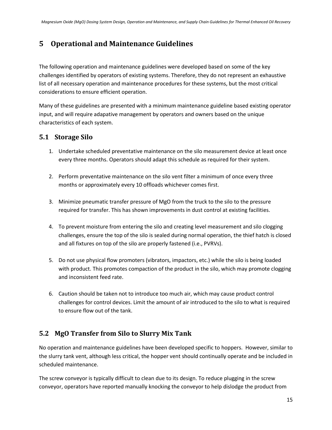## <span id="page-17-0"></span>**5 Operational and Maintenance Guidelines**

The following operation and maintenance guidelines were developed based on some of the key challenges identified by operators of existing systems. Therefore, they do not represent an exhaustive list of all necessary operation and maintenance procedures for these systems, but the most critical considerations to ensure efficient operation.

Many of these guidelines are presented with a minimum maintenance guideline based existing operator input, and will require adapative management by operators and owners based on the unique characteristics of each system.

## <span id="page-17-1"></span>**5.1 Storage Silo**

- 1. Undertake scheduled preventative maintenance on the silo measurement device at least once every three months. Operators should adapt this schedule as required for their system.
- 2. Perform preventative maintenance on the silo vent filter a minimum of once every three months or approximately every 10 offloads whichever comes first.
- 3. Minimize pneumatic transfer pressure of MgO from the truck to the silo to the pressure required for transfer. This has shown improvements in dust control at existing facilities.
- 4. To prevent moisture from entering the silo and creating level measurement and silo clogging challenges, ensure the top of the silo is sealed during normal operation, the thief hatch is closed and all fixtures on top of the silo are properly fastened (i.e., PVRVs).
- 5. Do not use physical flow promoters (vibrators, impactors, etc.) while the silo is being loaded with product. This promotes compaction of the product in the silo, which may promote clogging and inconsistent feed rate.
- 6. Caution should be taken not to introduce too much air, which may cause product control challenges for control devices. Limit the amount of air introduced to the silo to what is required to ensure flow out of the tank.

## <span id="page-17-2"></span>**5.2 MgO Transfer from Silo to Slurry Mix Tank**

No operation and maintenance guidelines have been developed specific to hoppers. However, similar to the slurry tank vent, although less critical, the hopper vent should continually operate and be included in scheduled maintenance.

The screw conveyor is typically difficult to clean due to its design. To reduce plugging in the screw conveyor, operators have reported manually knocking the conveyor to help dislodge the product from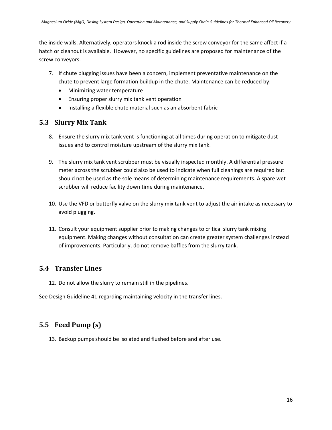the inside walls. Alternatively, operators knock a rod inside the screw conveyor for the same affect if a hatch or cleanout is available. However, no specific guidelines are proposed for maintenance of the screw conveyors.

- 7. If chute plugging issues have been a concern, implement preventative maintenance on the chute to prevent large formation buildup in the chute. Maintenance can be reduced by:
	- Minimizing water temperature
	- Ensuring proper slurry mix tank vent operation
	- Installing a flexible chute material such as an absorbent fabric

### <span id="page-18-0"></span>**5.3 Slurry Mix Tank**

- 8. Ensure the slurry mix tank vent is functioning at all times during operation to mitigate dust issues and to control moisture upstream of the slurry mix tank.
- 9. The slurry mix tank vent scrubber must be visually inspected monthly. A differential pressure meter across the scrubber could also be used to indicate when full cleanings are required but should not be used as the sole means of determining maintenance requirements. A spare wet scrubber will reduce facility down time during maintenance.
- 10. Use the VFD or butterfly valve on the slurry mix tank vent to adjust the air intake as necessary to avoid plugging.
- 11. Consult your equipment supplier prior to making changes to critical slurry tank mixing equipment. Making changes without consultation can create greater system challenges instead of improvements. Particularly, do not remove baffles from the slurry tank.

## <span id="page-18-1"></span>**5.4 Transfer Lines**

12. Do not allow the slurry to remain still in the pipelines.

See Design Guideline 41 regarding maintaining velocity in the transfer lines.

## <span id="page-18-2"></span>**5.5 Feed Pump (s)**

13. Backup pumps should be isolated and flushed before and after use.